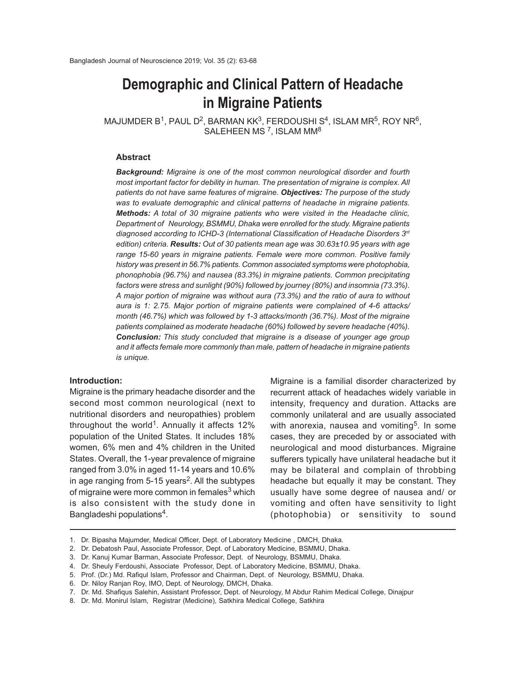# **Demographic and Clinical Pattern of Headache in Migraine Patients**

<code>MAJUMDER</code> B $^1$ , PAUL D $^2$ , BARMAN KK $^3$ , FERDOUSHI S $^4$ , ISLAM MR $^5$ , ROY NR $^6$ , SALEHEEN MS <sup>7</sup>, ISLAM MM<sup>8</sup>

#### **Abstract**

*Background: Migraine is one of the most common neurological disorder and fourth most important factor for debility in human. The presentation of migraine is complex. All patients do not have same features of migraine. Objectives: The purpose of the study was to evaluate demographic and clinical patterns of headache in migraine patients. Methods: A total of 30 migraine patients who were visited in the Headache clinic, Department of Neurology, BSMMU, Dhaka were enrolled for the study. Migraine patients diagnosed according to ICHD-3 (International Classification of Headache Disorders 3rd edition) criteria. Results: Out of 30 patients mean age was 30.63±10.95 years with age range 15-60 years in migraine patients. Female were more common. Positive family history was present in 56.7% patients. Common associated symptoms were photophobia, phonophobia (96.7%) and nausea (83.3%) in migraine patients. Common precipitating factors were stress and sunlight (90%) followed by journey (80%) and insomnia (73.3%). A major portion of migraine was without aura (73.3%) and the ratio of aura to without aura is 1: 2.75. Major portion of migraine patients were complained of 4-6 attacks/ month (46.7%) which was followed by 1-3 attacks/month (36.7%). Most of the migraine patients complained as moderate headache (60%) followed by severe headache (40%). Conclusion: This study concluded that migraine is a disease of younger age group and it affects female more commonly than male, pattern of headache in migraine patients is unique.*

#### **Introduction:**

Migraine is the primary headache disorder and the second most common neurological (next to nutritional disorders and neuropathies) problem throughout the world<sup>1</sup>. Annually it affects 12% population of the United States. It includes 18% women, 6% men and 4% children in the United States. Overall, the 1-year prevalence of migraine ranged from 3.0% in aged 11-14 years and 10.6% in age ranging from 5-15 years<sup>2</sup>. All the subtypes of migraine were more common in females<sup>3</sup> which is also consistent with the study done in Bangladeshi populations<sup>4</sup>.

Migraine is a familial disorder characterized by recurrent attack of headaches widely variable in intensity, frequency and duration. Attacks are commonly unilateral and are usually associated with anorexia, nausea and vomiting<sup>5</sup>. In some cases, they are preceded by or associated with neurological and mood disturbances. Migraine sufferers typically have unilateral headache but it may be bilateral and complain of throbbing headache but equally it may be constant. They usually have some degree of nausea and/ or vomiting and often have sensitivity to light (photophobia) or sensitivity to sound

<sup>1.</sup> Dr. Bipasha Majumder, Medical Officer, Dept. of Laboratory Medicine , DMCH, Dhaka.

<sup>2.</sup> Dr. Debatosh Paul, Associate Professor, Dept. of Laboratory Medicine, BSMMU, Dhaka.

<sup>3.</sup> Dr. Kanuj Kumar Barman, Associate Professor, Dept. of Neurology, BSMMU, Dhaka.

<sup>4.</sup> Dr. Sheuly Ferdoushi, Associate Professor, Dept. of Laboratory Medicine, BSMMU, Dhaka.

<sup>5.</sup> Prof. (Dr.) Md. Rafiqul Islam, Professor and Chairman, Dept. of Neurology, BSMMU, Dhaka.

<sup>6.</sup> Dr. Niloy Ranjan Roy, IMO, Dept. of Neurology, DMCH, Dhaka.

<sup>7.</sup> Dr. Md. Shafiqus Salehin, Assistant Professor, Dept. of Neurology, M Abdur Rahim Medical College, Dinajpur

<sup>8.</sup> Dr. Md. Monirul Islam, Registrar (Medicine), Satkhira Medical College, Satkhira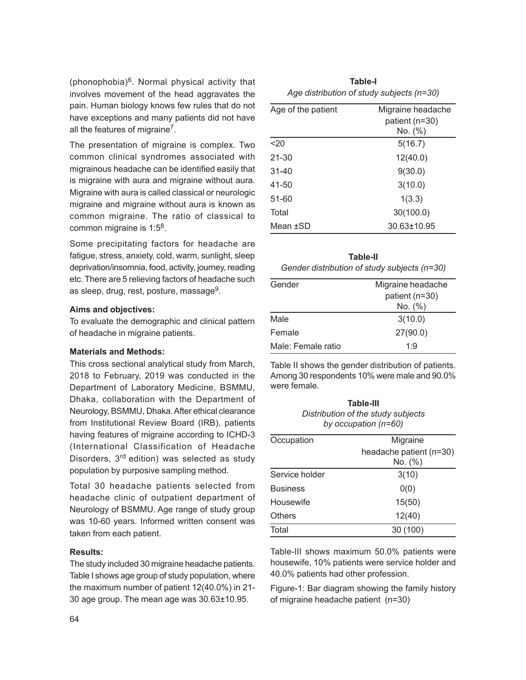(phonophobia)<sup>6</sup>. Normal physical activity that involves movement of the head aggravates the pain. Human biology knows few rules that do not have exceptions and many patients did not have all the features of migraine<sup>7</sup>.

The presentation of migraine is complex. Two common clinical syndromes associated with migrainous headache can be identified easily that is migraine with aura and migraine without aura. Migraine with aura is called classical or neurologic migraine and migraine without aura is known as common migraine. The ratio of classical to common migraine is 1:5<sup>8</sup>.

Some precipitating factors for headache are fatigue, stress, anxiety, cold, warm, sunlight, sleep deprivation/insomnia, food, activity, journey, reading etc. There are 5 relieving factors of headache such as sleep, drug, rest, posture, massage $^9$ .

#### **Aims and objectives:**

To evaluate the demographic and clinical pattern of headache in migraine patients.

### **Materials and Methods:**

This cross sectional analytical study from March, 2018 to February, 2019 was conducted in the Department of Laboratory Medicine, BSMMU, Dhaka, collaboration with the Department of Neurology, BSMMU, Dhaka. After ethical clearance from Institutional Review Board (IRB), patients having features of migraine according to ICHD-3 (International Classification of Headache Disorders, 3<sup>rd</sup> edition) was selected as study population by purposive sampling method.

Total 30 headache patients selected from headache clinic of outpatient department of Neurology of BSMMU. Age range of study group was 10-60 years. Informed written consent was taken from each patient.

## **Results:**

The study included 30 migraine headache patients. Table I shows age group of study population, where the maximum number of patient 12(40.0%) in 21- 30 age group. The mean age was 30.63±10.95.

| Table-I                                   |
|-------------------------------------------|
| Age distribution of study subjects (n=30) |

| Age of the patient | Migraine headache |  |
|--------------------|-------------------|--|
|                    | patient (n=30)    |  |
|                    | No. (%)           |  |
| $20$               | 5(16.7)           |  |
| 21-30              | 12(40.0)          |  |
| $31 - 40$          | 9(30.0)           |  |
| 41-50              | 3(10.0)           |  |
| 51-60              | 1(3.3)            |  |
| Total              | 30(100.0)         |  |
| Mean ±SD           | 30.63±10.95       |  |

| Table-II                                     |
|----------------------------------------------|
| Gender distribution of study subjects (n=30) |

| Gender             | Migraine headache |
|--------------------|-------------------|
|                    | patient (n=30)    |
|                    | No. (%)           |
| Male               | 3(10.0)           |
| Female             | 27(90.0)          |
| Male: Female ratio | 1.9               |

Table II shows the gender distribution of patients. Among 30 respondents 10% were male and 90.0% were female.

| <b>Table-III</b>                   |  |  |
|------------------------------------|--|--|
| Distribution of the study subjects |  |  |
| by occupation $(n=60)$             |  |  |

| Occupation      | Migraine                |  |
|-----------------|-------------------------|--|
|                 | headache patient (n=30) |  |
|                 | No. (%)                 |  |
| Service holder  | 3(10)                   |  |
| <b>Business</b> | 0(0)                    |  |
| Housewife       | 15(50)                  |  |
| Others          | 12(40)                  |  |
| Total           | 30(100)                 |  |

Table-III shows maximum 50.0% patients were housewife, 10% patients were service holder and 40.0% patients had other profession.

Figure-1: Bar diagram showing the family history of migraine headache patient (n=30)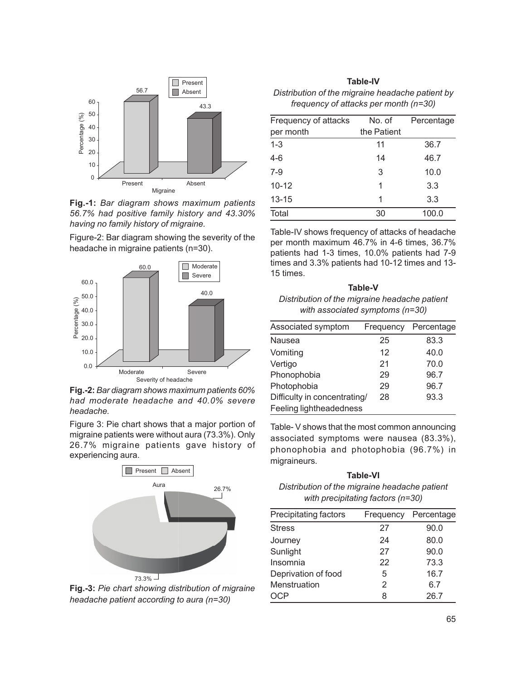

**Fig.-1:** *Bar diagram shows maximum patients 56.7% had positive family history and 43.30% having no family history of migraine.*

Figure-2: Bar diagram showing the severity of the headache in migraine patients (n=30).



**Fig.-2:** *Bar diagram shows maximum patients 60% had moderate headache and 40.0% severe headache.*

Figure 3: Pie chart shows that a major portion of migraine patients were without aura (73.3%). Only 26.7% migraine patients gave history of experiencing aura.



**Fig.-3:** *Pie chart showing distribution of migraine headache patient according to aura (n=30)*

| <b>Table-IV</b>                                  |
|--------------------------------------------------|
| Distribution of the migraine headache patient by |
| frequency of attacks per month (n=30)            |

| Frequency of attacks | No. of      | Percentage |
|----------------------|-------------|------------|
| per month            | the Patient |            |
| $1 - 3$              | 11          | 36.7       |
| $4-6$                | 14          | 46.7       |
| $7-9$                | 3           | 10.0       |
| $10 - 12$            | 1           | 3.3        |
| $13 - 15$            | 1           | 3.3        |
| Total                | 30          | 100.0      |
|                      |             |            |

Table-IV shows frequency of attacks of headache per month maximum 46.7% in 4-6 times, 36.7% patients had 1-3 times, 10.0% patients had 7-9 times and 3.3% patients had 10-12 times and 13- 15 times.

**Table-V** *Distribution of the migraine headache patient with associated symptoms (n=30)*

| Associated symptom           | Frequency | Percentage |
|------------------------------|-----------|------------|
| Nausea                       | 25        | 83.3       |
| Vomiting                     | 12        | 40.0       |
| Vertigo                      | 21        | 70.0       |
| Phonophobia                  | 29        | 96.7       |
| Photophobia                  | 29        | 96.7       |
| Difficulty in concentrating/ | 28        | 93.3       |
| Feeling lightheadedness      |           |            |

Table- V shows that the most common announcing associated symptoms were nausea (83.3%), phonophobia and photophobia (96.7%) in migraineurs.

**Table-VI** *Distribution of the migraine headache patient with precipitating factors (n=30)*

| Frequency | Percentage |
|-----------|------------|
| 27        | 90.0       |
| 24        | 80.0       |
| 27        | 90.0       |
| 22        | 73.3       |
| 5         | 16.7       |
| 2         | 6.7        |
| 8         | 26.7       |
|           |            |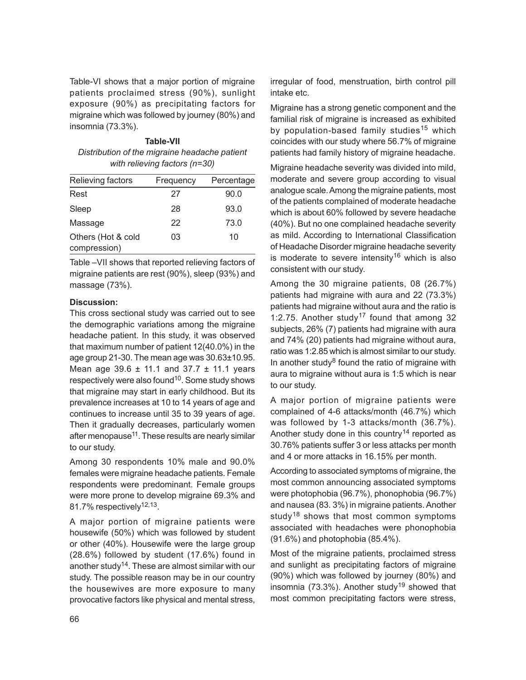Table-VI shows that a major portion of migraine patients proclaimed stress (90%), sunlight exposure (90%) as precipitating factors for migraine which was followed by journey (80%) and insomnia (73.3%).

# **Table-VII** *Distribution of the migraine headache patient with relieving factors (n=30)*

| Relieving factors                  | Frequency | Percentage |
|------------------------------------|-----------|------------|
| Rest                               | 27        | 90.0       |
| Sleep                              | 28        | 93.0       |
| Massage                            | 22        | 73.0       |
| Others (Hot & cold<br>compression) | 03        | 10         |

Table –VII shows that reported relieving factors of migraine patients are rest (90%), sleep (93%) and massage (73%).

## **Discussion:**

This cross sectional study was carried out to see the demographic variations among the migraine headache patient. In this study, it was observed that maximum number of patient 12(40.0%) in the age group 21-30. The mean age was 30.63±10.95. Mean age 39.6  $\pm$  11.1 and 37.7  $\pm$  11.1 years respectively were also found<sup>10</sup>. Some study shows that migraine may start in early childhood. But its prevalence increases at 10 to 14 years of age and continues to increase until 35 to 39 years of age. Then it gradually decreases, particularly women after menopause<sup>11</sup>. These results are nearly similar to our study.

Among 30 respondents 10% male and 90.0% females were migraine headache patients. Female respondents were predominant. Female groups were more prone to develop migraine 69.3% and 81.7% respectively<sup>12,13</sup>.

A major portion of migraine patients were housewife (50%) which was followed by student or other (40%). Housewife were the large group (28.6%) followed by student (17.6%) found in another study<sup>14</sup>. These are almost similar with our study. The possible reason may be in our country the housewives are more exposure to many provocative factors like physical and mental stress, irregular of food, menstruation, birth control pill intake etc.

Migraine has a strong genetic component and the familial risk of migraine is increased as exhibited by population-based family studies<sup>15</sup> which coincides with our study where 56.7% of migraine patients had family history of migraine headache.

Migraine headache severity was divided into mild, moderate and severe group according to visual analogue scale. Among the migraine patients, most of the patients complained of moderate headache which is about 60% followed by severe headache (40%). But no one complained headache severity as mild. According to International Classification of Headache Disorder migraine headache severity is moderate to severe intensity<sup>16</sup> which is also consistent with our study.

Among the 30 migraine patients, 08 (26.7%) patients had migraine with aura and 22 (73.3%) patients had migraine without aura and the ratio is 1:2.75. Another study<sup>17</sup> found that among 32 subjects, 26% (7) patients had migraine with aura and 74% (20) patients had migraine without aura, ratio was 1:2.85 which is almost similar to our study. In another study<sup>8</sup> found the ratio of migraine with aura to migraine without aura is 1:5 which is near to our study.

A major portion of migraine patients were complained of 4-6 attacks/month (46.7%) which was followed by 1-3 attacks/month (36.7%). Another study done in this country<sup>14</sup> reported as 30.76% patients suffer 3 or less attacks per month and 4 or more attacks in 16.15% per month.

According to associated symptoms of migraine, the most common announcing associated symptoms were photophobia (96.7%), phonophobia (96.7%) and nausea (83. 3%) in migraine patients. Another study<sup>18</sup> shows that most common symptoms associated with headaches were phonophobia (91.6%) and photophobia (85.4%).

Most of the migraine patients, proclaimed stress and sunlight as precipitating factors of migraine (90%) which was followed by journey (80%) and insomnia (73.3%). Another study<sup>19</sup> showed that most common precipitating factors were stress,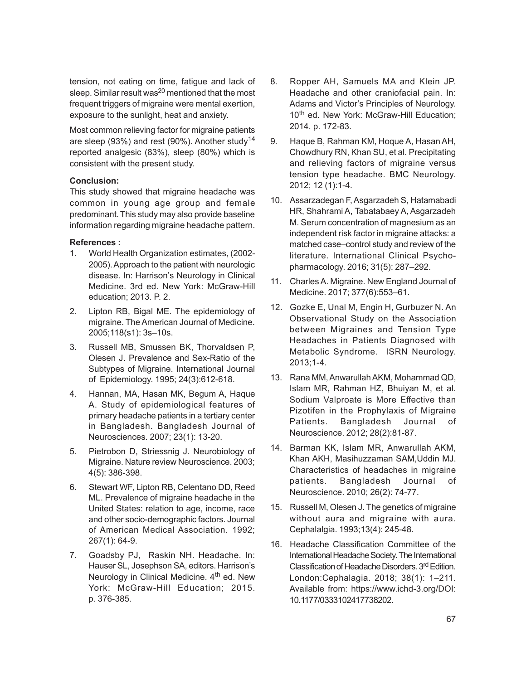tension, not eating on time, fatigue and lack of sleep. Similar result was<sup>20</sup> mentioned that the most frequent triggers of migraine were mental exertion, exposure to the sunlight, heat and anxiety.

Most common relieving factor for migraine patients are sleep (93%) and rest (90%). Another study<sup>14</sup> reported analgesic (83%), sleep (80%) which is consistent with the present study.

# **Conclusion:**

This study showed that migraine headache was common in young age group and female predominant. This study may also provide baseline information regarding migraine headache pattern.

## **References :**

- 1. World Health Organization estimates, (2002- 2005). Approach to the patient with neurologic disease. In: Harrison's Neurology in Clinical Medicine. 3rd ed. New York: McGraw-Hill education; 2013. P. 2.
- 2. Lipton RB, Bigal ME. The epidemiology of migraine. The American Journal of Medicine. 2005;118(s1): 3s–10s.
- 3. Russell MB, Smussen BK, Thorvaldsen P, Olesen J. Prevalence and Sex-Ratio of the Subtypes of Migraine. International Journal of Epidemiology. 1995; 24(3):612-618.
- 4. Hannan, MA, Hasan MK, Begum A, Haque A. Study of epidemiological features of primary headache patients in a tertiary center in Bangladesh. Bangladesh Journal of Neurosciences. 2007; 23(1): 13-20.
- 5. Pietrobon D, Striessnig J. Neurobiology of Migraine. Nature review Neuroscience. 2003; 4(5): 386-398.
- 6. Stewart WF, Lipton RB, Celentano DD, Reed ML. Prevalence of migraine headache in the United States: relation to age, income, race and other socio-demographic factors. Journal of American Medical Association. 1992; 267(1): 64-9.
- 7. Goadsby PJ, Raskin NH. Headache. In: Hauser SL, Josephson SA, editors. Harrison's Neurology in Clinical Medicine. 4<sup>th</sup> ed. New York: McGraw-Hill Education; 2015. p. 376-385.
- 8. Ropper AH, Samuels MA and Klein JP. Headache and other craniofacial pain. In: Adams and Victor's Principles of Neurology. 10<sup>th</sup> ed. New York: McGraw-Hill Education; 2014. p. 172-83.
- 9. Haque B, Rahman KM, Hoque A, Hasan AH, Chowdhury RN, Khan SU, et al. Precipitating and relieving factors of migraine versus tension type headache. BMC Neurology. 2012; 12 (1):1-4.
- 10. Assarzadegan F, Asgarzadeh S, Hatamabadi HR, Shahrami A, Tabatabaey A, Asgarzadeh M. Serum concentration of magnesium as an independent risk factor in migraine attacks: a matched case–control study and review of the literature. International Clinical Psychopharmacology. 2016; 31(5): 287–292.
- 11. Charles A. Migraine. New England Journal of Medicine. 2017; 377(6):553–61.
- 12. Gozke E, Unal M, Engin H, Gurbuzer N. An Observational Study on the Association between Migraines and Tension Type Headaches in Patients Diagnosed with Metabolic Syndrome. ISRN Neurology. 2013;1-4.
- 13. Rana MM, Anwarullah AKM, Mohammad QD, Islam MR, Rahman HZ, Bhuiyan M, et al. Sodium Valproate is More Effective than Pizotifen in the Prophylaxis of Migraine Patients. Bangladesh Journal of Neuroscience. 2012; 28(2):81-87.
- 14. Barman KK, Islam MR, Anwarullah AKM, Khan AKH, Masihuzzaman SAM,Uddin MJ. Characteristics of headaches in migraine patients. Bangladesh Journal of Neuroscience. 2010; 26(2): 74-77.
- 15. Russell M, Olesen J. The genetics of migraine without aura and migraine with aura. Cephalalgia. 1993;13(4): 245-48.
- 16. Headache Classification Committee of the International Headache Society. The International Classification of Headache Disorders. 3rd Edition. London:Cephalagia. 2018; 38(1): 1–211. Available from: https://www.ichd-3.org/DOI: 10.1177/0333102417738202.